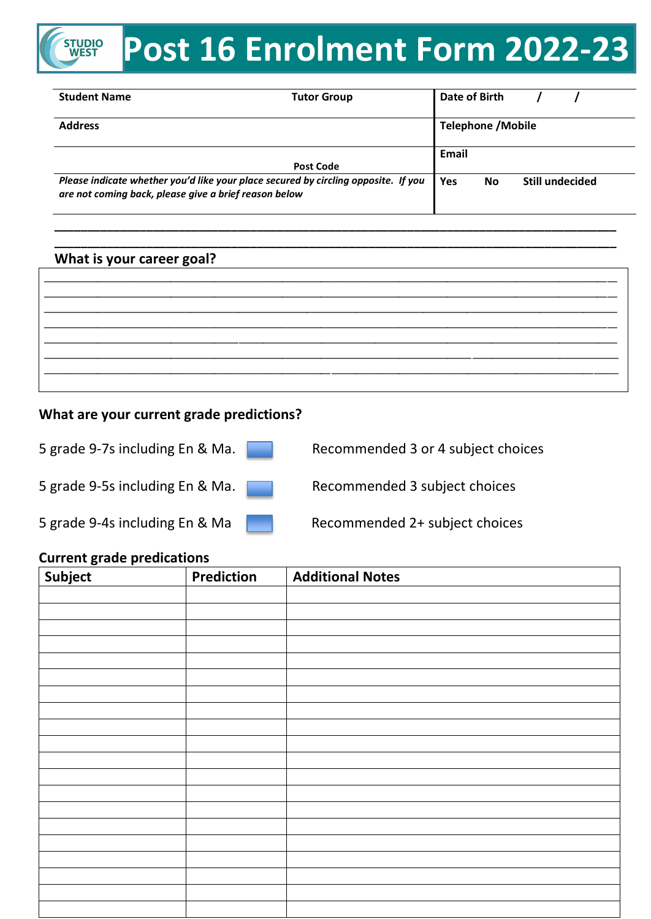### **Post 16 Enrolment Form 2022-23 STUDIO**<br>WEST

| <b>Student Name</b>                                   | <b>Tutor Group</b>                                                                 | Date of Birth |                           |                        |
|-------------------------------------------------------|------------------------------------------------------------------------------------|---------------|---------------------------|------------------------|
| <b>Address</b>                                        |                                                                                    |               | <b>Telephone / Mobile</b> |                        |
|                                                       |                                                                                    | Email         |                           |                        |
|                                                       | <b>Post Code</b>                                                                   |               |                           |                        |
| are not coming back, please give a brief reason below | Please indicate whether you'd like your place secured by circling opposite. If you | Yes           | <b>No</b>                 | <b>Still undecided</b> |

**\_\_\_\_\_\_\_\_\_\_\_\_\_\_\_\_\_\_\_\_\_\_\_\_\_\_\_\_\_\_\_\_\_\_\_\_\_\_\_\_\_\_\_\_\_\_\_\_\_\_\_\_\_\_\_\_\_\_\_\_\_\_\_\_\_\_\_\_\_\_\_\_\_\_\_\_\_\_\_\_\_\_\_\_\_\_ \_\_\_\_\_\_\_\_\_\_\_\_\_\_\_\_\_\_\_\_\_\_\_\_\_\_\_\_\_\_\_\_\_\_\_\_\_\_\_\_\_\_\_\_\_\_\_\_\_\_\_\_\_\_\_\_\_\_\_\_\_\_\_\_\_\_\_\_\_\_\_\_\_\_\_\_\_\_\_\_\_\_\_\_\_\_**

#### **What is your career goal?**

#### **What are your current grade predictions?**

| 5 grade 9-7s including En & Ma. |  |  |  |  |
|---------------------------------|--|--|--|--|
|                                 |  |  |  |  |
| 5 grade 9-5s including En & Ma  |  |  |  |  |

Recommended 3 or 4 subject choices

5 grade 9-5s including En & Ma. Recommended 3 subject choices

5 grade 9-4s including En & Ma Recommended 2+ subject choices

#### **Current grade predications**

| Subject | Prediction | <b>Additional Notes</b> |
|---------|------------|-------------------------|
|         |            |                         |
|         |            |                         |
|         |            |                         |
|         |            |                         |
|         |            |                         |
|         |            |                         |
|         |            |                         |
|         |            |                         |
|         |            |                         |
|         |            |                         |
|         |            |                         |
|         |            |                         |
|         |            |                         |
|         |            |                         |
|         |            |                         |
|         |            |                         |
|         |            |                         |
|         |            |                         |
|         |            |                         |
|         |            |                         |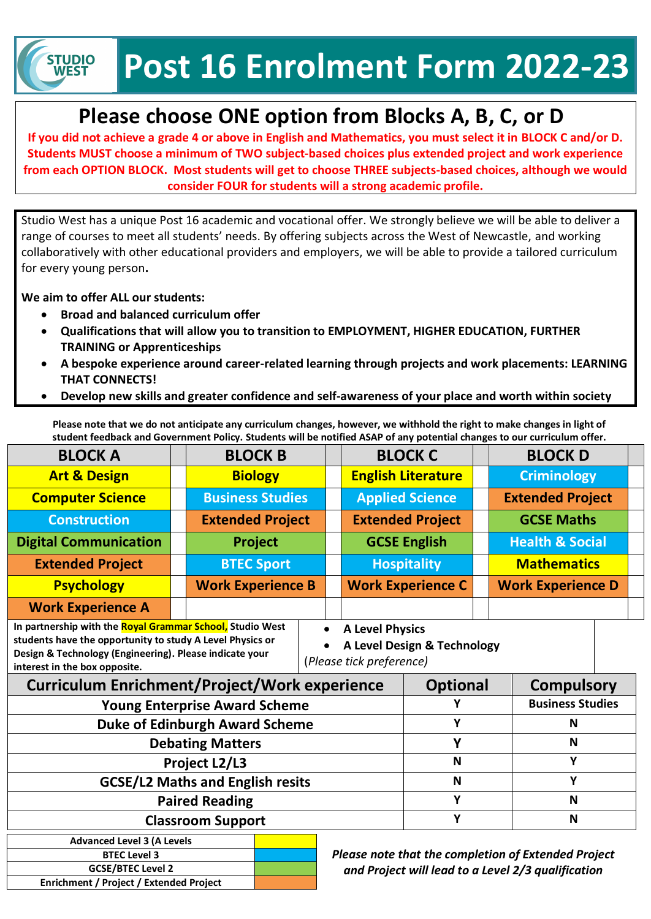**Post 16 Enrolment Form 2022-23**

# **Please choose ONE option from Blocks A, B, C, or D**

**If you did not achieve a grade 4 or above in English and Mathematics, you must select it in BLOCK C and/or D. Students MUST choose a minimum of TWO subject-based choices plus extended project and work experience from each OPTION BLOCK. Most students will get to choose THREE subjects-based choices, although we would consider FOUR for students will a strong academic profile.**

Studio West has a unique Post 16 academic and vocational offer. We strongly believe we will be able to deliver a range of courses to meet all students' needs. By offering subjects across the West of Newcastle, and working collaboratively with other educational providers and employers, we will be able to provide a tailored curriculum for every young person**.**

**We aim to offer ALL our students:**

**STUDIO WEST** 

- **Broad and balanced curriculum offer**
- **Qualifications that will allow you to transition to EMPLOYMENT, HIGHER EDUCATION, FURTHER TRAINING or Apprenticeships**
- **A bespoke experience around career-related learning through projects and work placements: LEARNING THAT CONNECTS!**
- **Develop new skills and greater confidence and self-awareness of your place and worth within society**

**Please note that we do not anticipate any curriculum changes, however, we withhold the right to make changes in light of student feedback and Government Policy. Students will be notified ASAP of any potential changes to our curriculum offer.**

| <b>BLOCK A</b>                                                                                                                                                                                                     |  | <b>BLOCK B</b>                                                                                                                         |  | <b>BLOCK C</b>            |   |                         | <b>BLOCK D</b>             |  |  |
|--------------------------------------------------------------------------------------------------------------------------------------------------------------------------------------------------------------------|--|----------------------------------------------------------------------------------------------------------------------------------------|--|---------------------------|---|-------------------------|----------------------------|--|--|
| <b>Art &amp; Design</b>                                                                                                                                                                                            |  | <b>Biology</b>                                                                                                                         |  | <b>English Literature</b> |   |                         | <b>Criminology</b>         |  |  |
| <b>Computer Science</b>                                                                                                                                                                                            |  | <b>Business Studies</b>                                                                                                                |  | <b>Applied Science</b>    |   | <b>Extended Project</b> |                            |  |  |
| <b>Construction</b>                                                                                                                                                                                                |  | <b>Extended Project</b>                                                                                                                |  | <b>Extended Project</b>   |   |                         | <b>GCSE Maths</b>          |  |  |
| <b>Digital Communication</b>                                                                                                                                                                                       |  | <b>Project</b>                                                                                                                         |  | <b>GCSE English</b>       |   |                         | <b>Health &amp; Social</b> |  |  |
| <b>Extended Project</b>                                                                                                                                                                                            |  | <b>BTEC Sport</b>                                                                                                                      |  | <b>Hospitality</b>        |   |                         | <b>Mathematics</b>         |  |  |
| <b>Psychology</b>                                                                                                                                                                                                  |  | <b>Work Experience B</b>                                                                                                               |  | <b>Work Experience C</b>  |   |                         | <b>Work Experience D</b>   |  |  |
| <b>Work Experience A</b>                                                                                                                                                                                           |  |                                                                                                                                        |  |                           |   |                         |                            |  |  |
| In partnership with the Royal Grammar School, Studio West<br>students have the opportunity to study A Level Physics or<br>Design & Technology (Engineering). Please indicate your<br>interest in the box opposite. |  | <b>A Level Physics</b><br>$\bullet$<br>A Level Design & Technology<br>(Please tick preference)<br><b>Optional</b><br><b>Compulsory</b> |  |                           |   |                         |                            |  |  |
| <b>Curriculum Enrichment/Project/Work experience</b><br><b>Young Enterprise Award Scheme</b>                                                                                                                       |  |                                                                                                                                        |  |                           |   |                         | <b>Business Studies</b>    |  |  |
| <b>Duke of Edinburgh Award Scheme</b>                                                                                                                                                                              |  |                                                                                                                                        |  | Y                         |   | N                       |                            |  |  |
| <b>Debating Matters</b>                                                                                                                                                                                            |  |                                                                                                                                        |  | Y                         |   | N                       |                            |  |  |
| Project L2/L3                                                                                                                                                                                                      |  |                                                                                                                                        |  | N                         |   | Υ                       |                            |  |  |
| <b>GCSE/L2 Maths and English resits</b>                                                                                                                                                                            |  |                                                                                                                                        |  |                           | N |                         | Y                          |  |  |
| <b>Paired Reading</b>                                                                                                                                                                                              |  |                                                                                                                                        |  |                           | Υ |                         | N                          |  |  |
| <b>Classroom Support</b>                                                                                                                                                                                           |  |                                                                                                                                        |  | Y                         |   | N                       |                            |  |  |
| <b>Advanced Level 3 (A Levels</b><br>Please note that the completion of Extended Project<br><b>BTEC Level 3</b><br><b>GCSE/BTEC Level 2</b>                                                                        |  |                                                                                                                                        |  |                           |   |                         |                            |  |  |

**Enrichment / Project / Extended Project**

*and Project will lead to a Level 2/3 qualification*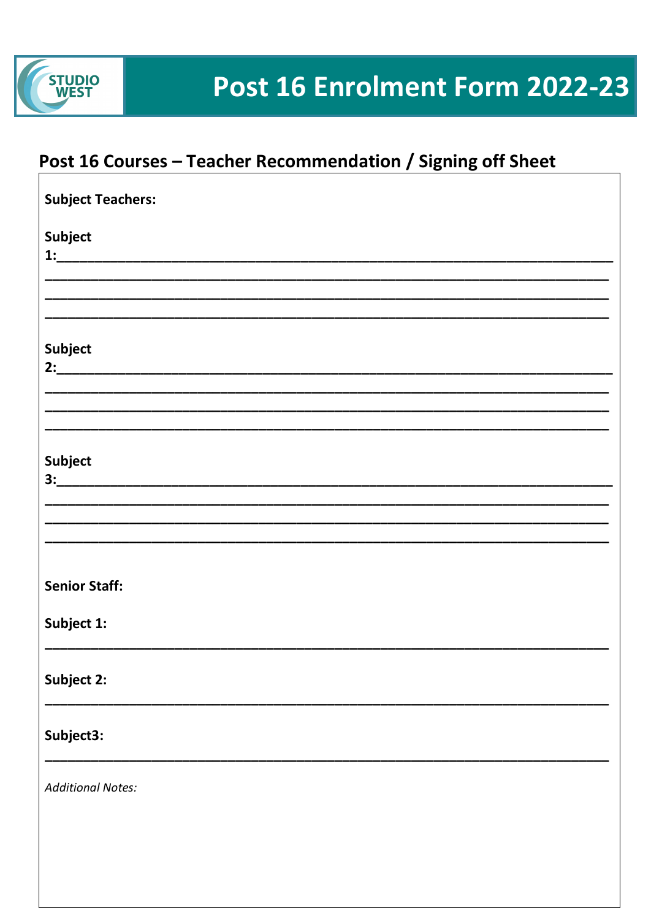

## Post 16 Courses - Teacher Recommendation / Signing off Sheet

| <b>Subject Teachers:</b> |
|--------------------------|
| Subject                  |
|                          |
|                          |
| Subject                  |
|                          |
|                          |
| Subject                  |
|                          |
|                          |
|                          |
| <b>Senior Staff:</b>     |
| Subject 1:               |
|                          |
| Subject 2:               |
| Subject3:                |
| <b>Additional Notes:</b> |
|                          |
|                          |
|                          |